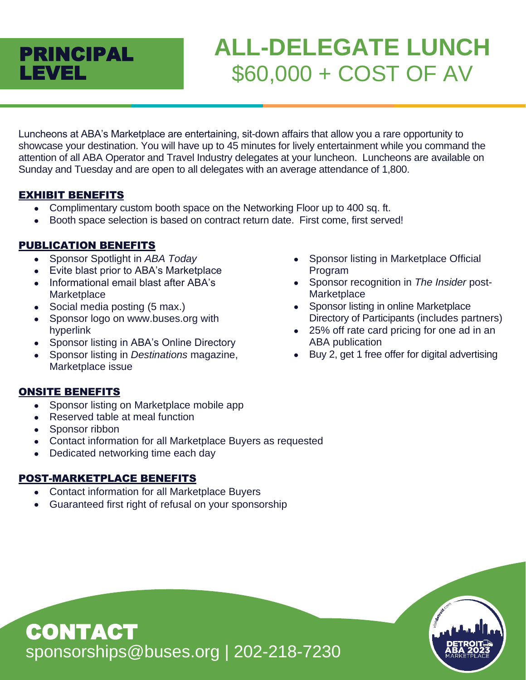# PRINCIPAL LEVEL

# **ALL-DELEGATE LUNCH** \$60,000 + COST OF AV

Luncheons at ABA's Marketplace are entertaining, sit-down affairs that allow you a rare opportunity to showcase your destination. You will have up to 45 minutes for lively entertainment while you command the attention of all ABA Operator and Travel Industry delegates at your luncheon. Luncheons are available on Sunday and Tuesday and are open to all delegates with an average attendance of 1,800.

# EXHIBIT BENEFITS

- Complimentary custom booth space on the Networking Floor up to 400 sq. ft.
- Booth space selection is based on contract return date. First come, first served!

# PUBLICATION BENEFITS

- Sponsor Spotlight in *ABA Today*
- Evite blast prior to ABA's Marketplace
- Informational email blast after ABA's **Marketplace**
- Social media posting (5 max.)
- Sponsor logo on www.buses.org with hyperlink
- Sponsor listing in ABA's Online Directory
- Sponsor listing in *Destinations* magazine, Marketplace issue

# ONSITE BENEFITS

- Sponsor listing on Marketplace mobile app
- Reserved table at meal function
- Sponsor ribbon

CONTACT

• Contact information for all Marketplace Buyers as requested

sponsorships@buses.org | 202-218-7230

• Dedicated networking time each day

- Contact information for all Marketplace Buyers
- Guaranteed first right of refusal on your sponsorship
- Sponsor listing in Marketplace Official Program
- Sponsor recognition in *The Insider* post-**Marketplace**
- Sponsor listing in online Marketplace Directory of Participants (includes partners)
- 25% off rate card pricing for one ad in an ABA publication
- Buy 2, get 1 free offer for digital advertising

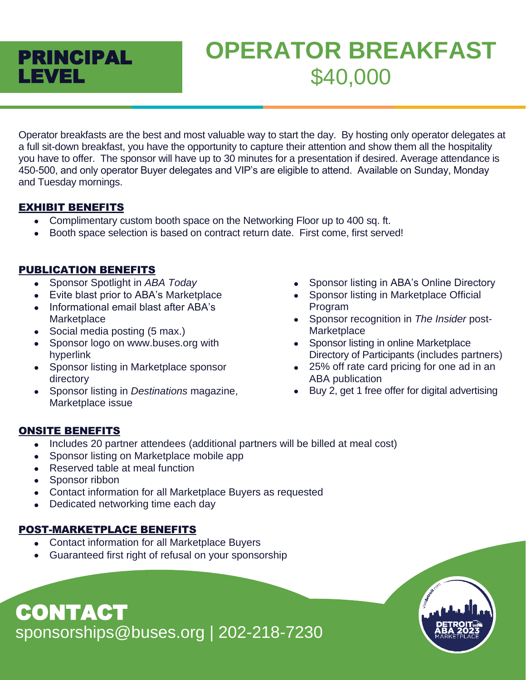

# **OPERATOR BREAKFAST** \$40,000

Operator breakfasts are the best and most valuable way to start the day. By hosting only operator delegates at a full sit-down breakfast, you have the opportunity to capture their attention and show them all the hospitality you have to offer. The sponsor will have up to 30 minutes for a presentation if desired. Average attendance is 450-500, and only operator Buyer delegates and VIP's are eligible to attend. Available on Sunday, Monday and Tuesday mornings.

# EXHIBIT BENEFITS

- Complimentary custom booth space on the Networking Floor up to 400 sq. ft.
- Booth space selection is based on contract return date. First come, first served!

# PUBLICATION BENEFITS

- Sponsor Spotlight in *ABA Today*
- Evite blast prior to ABA's Marketplace
- Informational email blast after ABA's **Marketplace**
- Social media posting (5 max.)
- Sponsor logo on www.buses.org with hyperlink
- Sponsor listing in Marketplace sponsor directory
- Sponsor listing in *Destinations* magazine, Marketplace issue
- Sponsor listing in ABA's Online Directory
- Sponsor listing in Marketplace Official Program
- Sponsor recognition in *The Insider* post-**Marketplace**
- Sponsor listing in online Marketplace Directory of Participants (includes partners)
- 25% off rate card pricing for one ad in an ABA publication
- Buy 2, get 1 free offer for digital advertising

# ONSITE BENEFITS

- Includes 20 partner attendees (additional partners will be billed at meal cost)
- Sponsor listing on Marketplace mobile app
- Reserved table at meal function
- Sponsor ribbon
- Contact information for all Marketplace Buyers as requested
- Dedicated networking time each day

# POST-MARKETPLACE BENEFITS

- Contact information for all Marketplace Buyers
- Guaranteed first right of refusal on your sponsorship

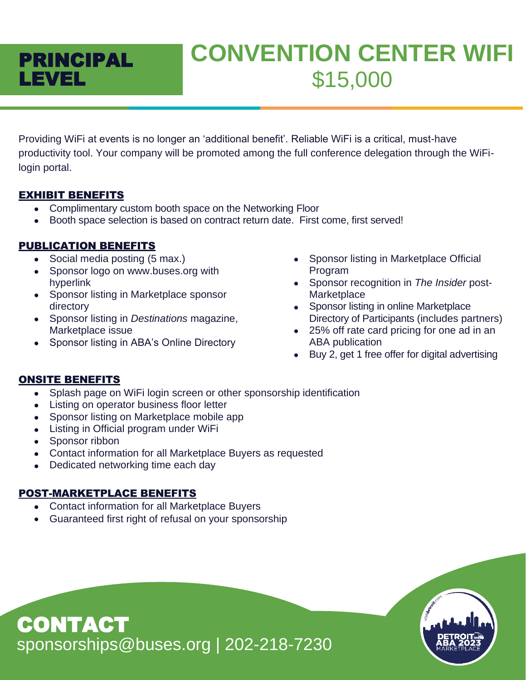

# **CONVENTION CENTER WIFI** \$15,000

Providing WiFi at events is no longer an 'additional benefit'. Reliable WiFi is a critical, must-have productivity tool. Your company will be promoted among the full conference delegation through the WiFilogin portal.

# EXHIBIT BENEFITS

- Complimentary custom booth space on the Networking Floor
- Booth space selection is based on contract return date. First come, first served!

# PUBLICATION BENEFITS

- Social media posting (5 max.)
- Sponsor logo on www.buses.org with hyperlink
- Sponsor listing in Marketplace sponsor directory
- Sponsor listing in *Destinations* magazine, Marketplace issue
- Sponsor listing in ABA's Online Directory
- Sponsor listing in Marketplace Official Program
- Sponsor recognition in *The Insider* post-**Marketplace**
- Sponsor listing in online Marketplace Directory of Participants (includes partners)
- 25% off rate card pricing for one ad in an ABA publication
- Buy 2, get 1 free offer for digital advertising

# ONSITE BENEFITS

- Splash page on WiFi login screen or other sponsorship identification
- Listing on operator business floor letter
- Sponsor listing on Marketplace mobile app
- Listing in Official program under WiFi
- Sponsor ribbon
- Contact information for all Marketplace Buyers as requested
- Dedicated networking time each day

# POST-MARKETPLACE BENEFITS

- Contact information for all Marketplace Buyers
- Guaranteed first right of refusal on your sponsorship

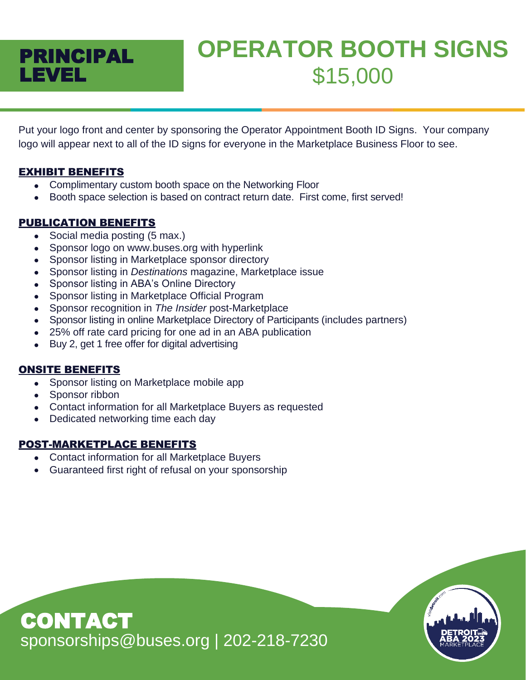

# **OPERATOR BOOTH SIGNS** \$15,000

Put your logo front and center by sponsoring the Operator Appointment Booth ID Signs. Your company logo will appear next to all of the ID signs for everyone in the Marketplace Business Floor to see.

# EXHIBIT BENEFITS

- Complimentary custom booth space on the Networking Floor
- Booth space selection is based on contract return date. First come, first served!

# PUBLICATION BENEFITS

- Social media posting (5 max.)
- Sponsor logo on www.buses.org with hyperlink
- Sponsor listing in Marketplace sponsor directory
- Sponsor listing in *Destinations* magazine, Marketplace issue
- Sponsor listing in ABA's Online Directory
- Sponsor listing in Marketplace Official Program
- Sponsor recognition in *The Insider* post-Marketplace
- Sponsor listing in online Marketplace Directory of Participants (includes partners)
- 25% off rate card pricing for one ad in an ABA publication
- Buy 2, get 1 free offer for digital advertising

# ONSITE BENEFITS

- Sponsor listing on Marketplace mobile app
- Sponsor ribbon
- Contact information for all Marketplace Buyers as requested
- Dedicated networking time each day

- Contact information for all Marketplace Buyers
- Guaranteed first right of refusal on your sponsorship

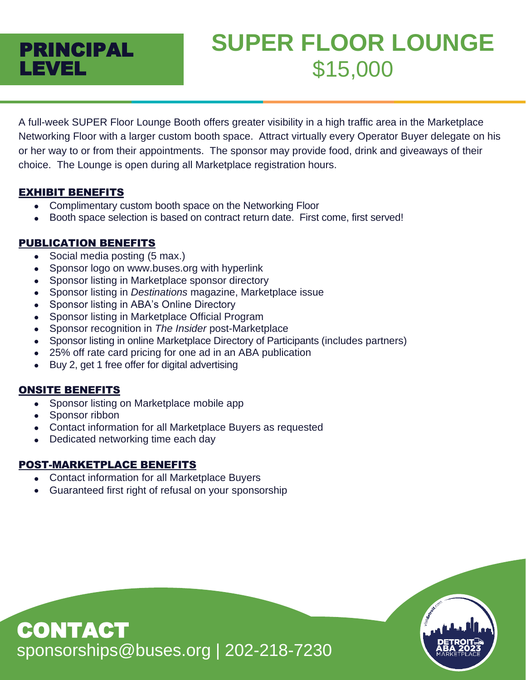# PRINCIPAL LEVEL

# **SUPER FLOOR LOUNGE** \$15,000

A full-week SUPER Floor Lounge Booth offers greater visibility in a high traffic area in the Marketplace Networking Floor with a larger custom booth space. Attract virtually every Operator Buyer delegate on his or her way to or from their appointments. The sponsor may provide food, drink and giveaways of their choice. The Lounge is open during all Marketplace registration hours.

# EXHIBIT BENEFITS

- Complimentary custom booth space on the Networking Floor
- Booth space selection is based on contract return date. First come, first served!

# PUBLICATION BENEFITS

- Social media posting (5 max.)
- Sponsor logo on www.buses.org with hyperlink
- Sponsor listing in Marketplace sponsor directory
- Sponsor listing in *Destinations* magazine, Marketplace issue
- Sponsor listing in ABA's Online Directory
- Sponsor listing in Marketplace Official Program
- Sponsor recognition in *The Insider* post-Marketplace
- Sponsor listing in online Marketplace Directory of Participants (includes partners)
- 25% off rate card pricing for one ad in an ABA publication
- Buy 2, get 1 free offer for digital advertising

# ONSITE BENEFITS

- Sponsor listing on Marketplace mobile app
- Sponsor ribbon
- Contact information for all Marketplace Buyers as requested
- Dedicated networking time each day

- Contact information for all Marketplace Buyers
- Guaranteed first right of refusal on your sponsorship

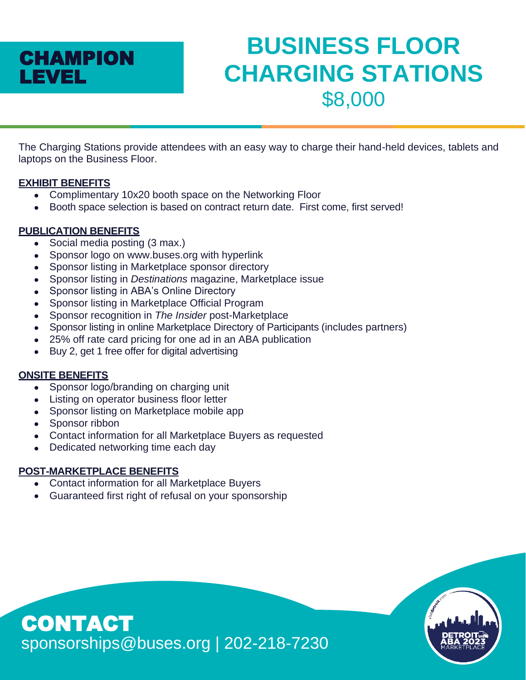

# **BUSINESS FLOOR CHARGING STATIONS** \$8,000

The Charging Stations provide attendees with an easy way to charge their hand-held devices, tablets and laptops on the Business Floor.

#### **EXHIBIT BENEFITS**

- Complimentary 10x20 booth space on the Networking Floor
- Booth space selection is based on contract return date. First come, first served!

# **PUBLICATION BENEFITS**

- Social media posting (3 max.)
- Sponsor logo on www.buses.org with hyperlink
- Sponsor listing in Marketplace sponsor directory
- Sponsor listing in *Destinations* magazine, Marketplace issue
- Sponsor listing in ABA's Online Directory
- Sponsor listing in Marketplace Official Program
- Sponsor recognition in *The Insider* post-Marketplace
- Sponsor listing in online Marketplace Directory of Participants (includes partners)
- 25% off rate card pricing for one ad in an ABA publication
- Buy 2, get 1 free offer for digital advertising

# **ONSITE BENEFITS**

- Sponsor logo/branding on charging unit
- Listing on operator business floor letter
- Sponsor listing on Marketplace mobile app
- Sponsor ribbon

CONTACT

- Contact information for all Marketplace Buyers as requested
- Dedicated networking time each day

- Contact information for all Marketplace Buyers
- Guaranteed first right of refusal on your sponsorship

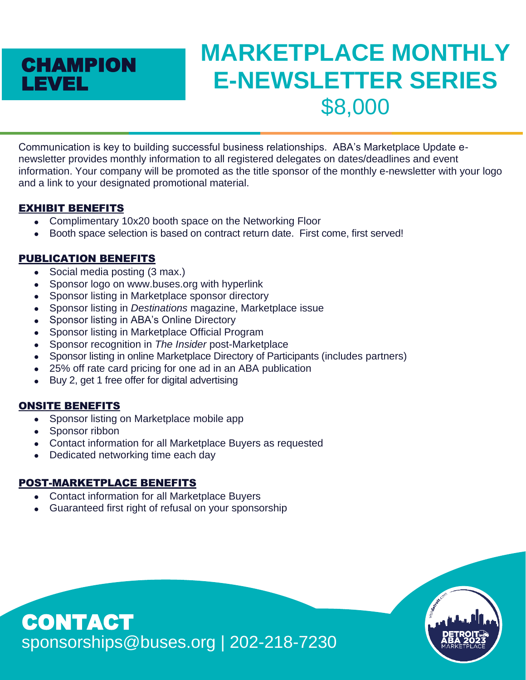# **CHAMPION** LEVEL

# **MARKETPLACE MONTHLY E-NEWSLETTER SERIES** \$8,000

Communication is key to building successful business relationships. ABA's Marketplace Update enewsletter provides monthly information to all registered delegates on dates/deadlines and event information. Your company will be promoted as the title sponsor of the monthly e-newsletter with your logo and a link to your designated promotional material.

# EXHIBIT BENEFITS

- Complimentary 10x20 booth space on the Networking Floor
- Booth space selection is based on contract return date. First come, first served!

# PUBLICATION BENEFITS

- Social media posting (3 max.)
- Sponsor logo on www.buses.org with hyperlink
- Sponsor listing in Marketplace sponsor directory
- Sponsor listing in *Destinations* magazine, Marketplace issue
- Sponsor listing in ABA's Online Directory
- Sponsor listing in Marketplace Official Program
- Sponsor recognition in *The Insider* post-Marketplace
- Sponsor listing in online Marketplace Directory of Participants (includes partners)
- 25% off rate card pricing for one ad in an ABA publication
- Buy 2, get 1 free offer for digital advertising

# ONSITE BENEFITS

- Sponsor listing on Marketplace mobile app
- Sponsor ribbon
- Contact information for all Marketplace Buyers as requested
- Dedicated networking time each day

# POST-MARKETPLACE BENEFITS

- Contact information for all Marketplace Buyers
- Guaranteed first right of refusal on your sponsorship

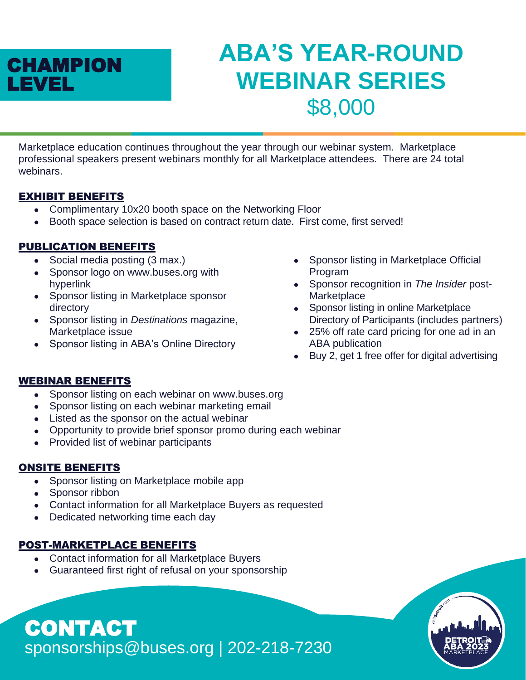

# **ABA'S YEAR-ROUND WEBINAR SERIES** \$8,000

Marketplace education continues throughout the year through our webinar system. Marketplace professional speakers present webinars monthly for all Marketplace attendees. There are 24 total webinars.

#### EXHIBIT BENEFITS

- Complimentary 10x20 booth space on the Networking Floor
- Booth space selection is based on contract return date. First come, first served!

# PUBLICATION BENEFITS

- Social media posting (3 max.)
- Sponsor logo on www.buses.org with hyperlink
- Sponsor listing in Marketplace sponsor directory
- Sponsor listing in *Destinations* magazine, Marketplace issue
- Sponsor listing in ABA's Online Directory
- Sponsor listing in Marketplace Official Program
- Sponsor recognition in *The Insider* post-**Marketplace**
- Sponsor listing in online Marketplace Directory of Participants (includes partners)
- 25% off rate card pricing for one ad in an ABA publication
- Buy 2, get 1 free offer for digital advertising

#### WEBINAR BENEFITS

- Sponsor listing on each webinar on www.buses.org
- Sponsor listing on each webinar marketing email
- Listed as the sponsor on the actual webinar
- Opportunity to provide brief sponsor promo during each webinar
- Provided list of webinar participants

#### ONSITE BENEFITS

- Sponsor listing on Marketplace mobile app
- Sponsor ribbon

CONTACT

• Contact information for all Marketplace Buyers as requested

sponsorships@buses.org | 202-218-7230

• Dedicated networking time each day

- Contact information for all Marketplace Buyers
- Guaranteed first right of refusal on your sponsorship

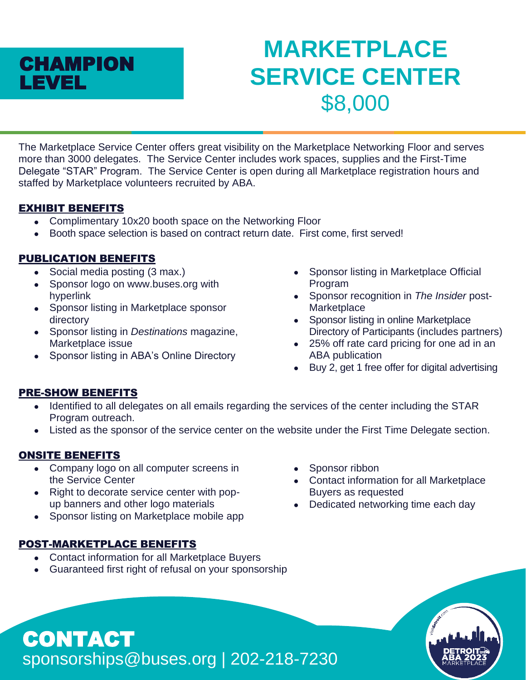

# **MARKETPLACE SERVICE CENTER** \$8,000

The Marketplace Service Center offers great visibility on the Marketplace Networking Floor and serves more than 3000 delegates. The Service Center includes work spaces, supplies and the First-Time Delegate "STAR" Program. The Service Center is open during all Marketplace registration hours and staffed by Marketplace volunteers recruited by ABA.

# EXHIBIT BENEFITS

- Complimentary 10x20 booth space on the Networking Floor
- Booth space selection is based on contract return date. First come, first served!

# PUBLICATION BENEFITS

- Social media posting (3 max.)
- Sponsor logo on www.buses.org with hyperlink
- Sponsor listing in Marketplace sponsor directory
- Sponsor listing in *Destinations* magazine, Marketplace issue
- Sponsor listing in ABA's Online Directory
- Sponsor listing in Marketplace Official Program
- Sponsor recognition in *The Insider* post-**Marketplace**
- Sponsor listing in online Marketplace Directory of Participants (includes partners)
- 25% off rate card pricing for one ad in an ABA publication
- Buy 2, get 1 free offer for digital advertising

# PRE-SHOW BENEFITS

- Identified to all delegates on all emails regarding the services of the center including the STAR Program outreach.
- Listed as the sponsor of the service center on the website under the First Time Delegate section.

# ONSITE BENEFITS

CONTACT

- Company logo on all computer screens in the Service Center
- Right to decorate service center with popup banners and other logo materials
- Sponsor listing on Marketplace mobile app

# POST-MARKETPLACE BENEFITS

- Contact information for all Marketplace Buyers
- Guaranteed first right of refusal on your sponsorship

sponsorships@buses.org | 202-218-7230

- Sponsor ribbon
- Contact information for all Marketplace Buyers as requested
- Dedicated networking time each day

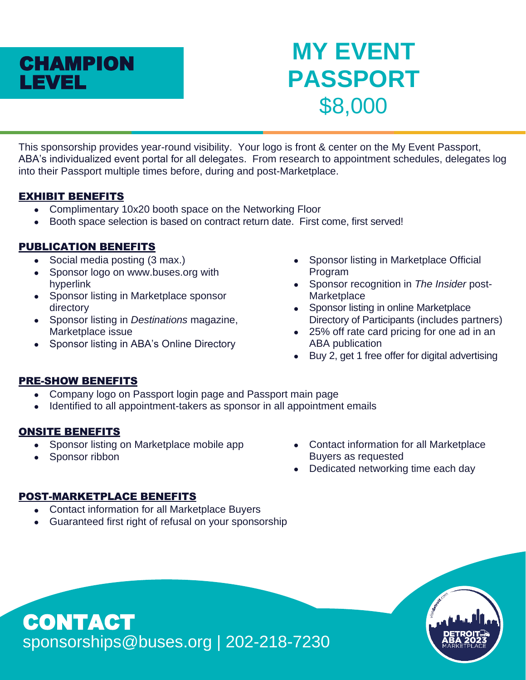

# **MY EVENT PASSPORT** \$8,000

This sponsorship provides year-round visibility. Your logo is front & center on the My Event Passport, ABA's individualized event portal for all delegates. From research to appointment schedules, delegates log into their Passport multiple times before, during and post-Marketplace.

#### EXHIBIT BENEFITS

- Complimentary 10x20 booth space on the Networking Floor
- Booth space selection is based on contract return date. First come, first served!

# PUBLICATION BENEFITS

- Social media posting (3 max.)
- Sponsor logo on www.buses.org with hyperlink
- Sponsor listing in Marketplace sponsor directory
- Sponsor listing in *Destinations* magazine, Marketplace issue
- Sponsor listing in ABA's Online Directory
- Sponsor listing in Marketplace Official Program
- Sponsor recognition in *The Insider* post-**Marketplace**
- Sponsor listing in online Marketplace Directory of Participants (includes partners)
- 25% off rate card pricing for one ad in an ABA publication
- Buy 2, get 1 free offer for digital advertising

#### PRE-SHOW BENEFITS

- Company logo on Passport login page and Passport main page
- Identified to all appointment-takers as sponsor in all appointment emails

# ONSITE BENEFITS

- Sponsor listing on Marketplace mobile app
- Sponsor ribbon
- Contact information for all Marketplace Buyers as requested
- Dedicated networking time each day

- Contact information for all Marketplace Buyers
- Guaranteed first right of refusal on your sponsorship

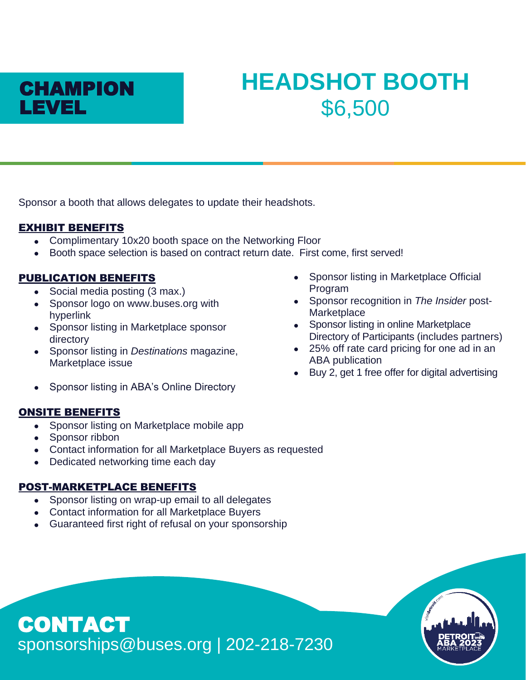

# **HEADSHOT BOOTH** \$6,500

Sponsor a booth that allows delegates to update their headshots.

# EXHIBIT BENEFITS

- Complimentary 10x20 booth space on the Networking Floor
- Booth space selection is based on contract return date. First come, first served!

# PUBLICATION BENEFITS

- Social media posting (3 max.)
- Sponsor logo on www.buses.org with hyperlink
- Sponsor listing in Marketplace sponsor directory
- Sponsor listing in *Destinations* magazine, Marketplace issue
- Sponsor listing in ABA's Online Directory

# ONSITE BENEFITS

- Sponsor listing on Marketplace mobile app
- Sponsor ribbon

CONTACT

- Contact information for all Marketplace Buyers as requested
- Dedicated networking time each day

# POST-MARKETPLACE BENEFITS

- Sponsor listing on wrap-up email to all delegates
- Contact information for all Marketplace Buyers
- Guaranteed first right of refusal on your sponsorship

sponsorships@buses.org | 202-218-7230

- Sponsor listing in Marketplace Official Program
- Sponsor recognition in *The Insider* post-**Marketplace**
- Sponsor listing in online Marketplace Directory of Participants (includes partners)
- 25% off rate card pricing for one ad in an ABA publication
- Buy 2, get 1 free offer for digital advertising

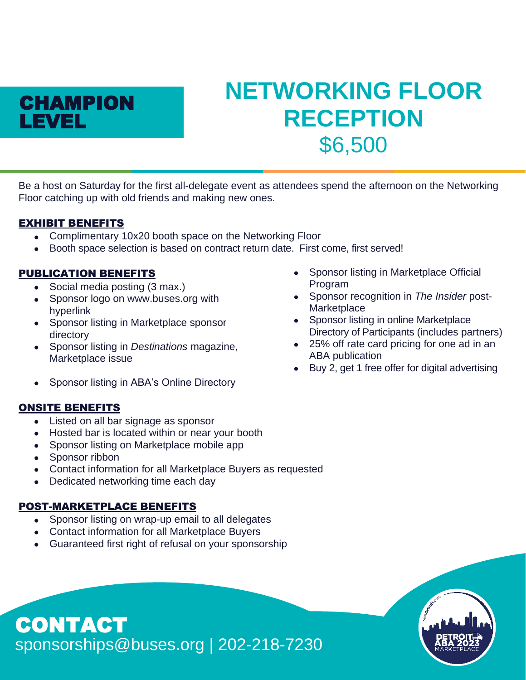

# **NETWORKING FLOOR RECEPTION** \$6,500

Be a host on Saturday for the first all-delegate event as attendees spend the afternoon on the Networking Floor catching up with old friends and making new ones.

# EXHIBIT BENEFITS

- Complimentary 10x20 booth space on the Networking Floor
- Booth space selection is based on contract return date. First come, first served!

# PUBLICATION BENEFITS

- Social media posting (3 max.)
- Sponsor logo on www.buses.org with hyperlink
- Sponsor listing in Marketplace sponsor directory
- Sponsor listing in *Destinations* magazine, Marketplace issue
- Sponsor listing in ABA's Online Directory

# ONSITE BENEFITS

- Listed on all bar signage as sponsor
- Hosted bar is located within or near your booth
- Sponsor listing on Marketplace mobile app
- Sponsor ribbon
- Contact information for all Marketplace Buyers as requested
- Dedicated networking time each day

# POST-MARKETPLACE BENEFITS

- Sponsor listing on wrap-up email to all delegates
- Contact information for all Marketplace Buyers
- Guaranteed first right of refusal on your sponsorship
- Sponsor listing in Marketplace Official Program
- Sponsor recognition in *The Insider* post-**Marketplace**
- Sponsor listing in online Marketplace Directory of Participants (includes partners)
- 25% off rate card pricing for one ad in an ABA publication
- Buy 2, get 1 free offer for digital advertising

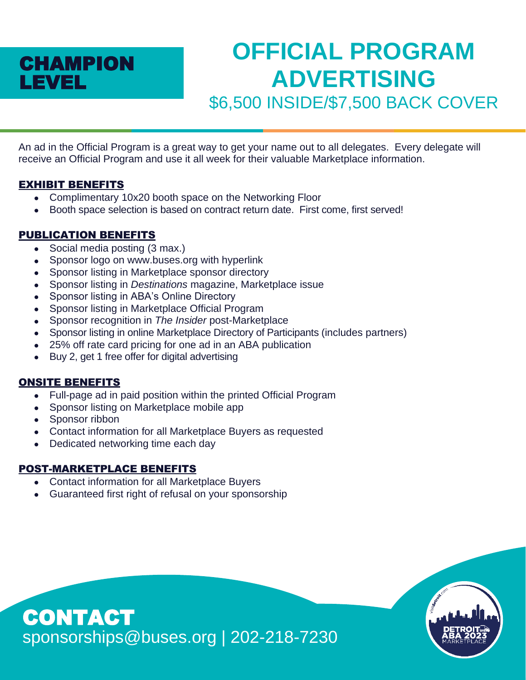

# **OFFICIAL PROGRAM ADVERTISING** \$6,500 INSIDE/\$7,500 BACK COVER

An ad in the Official Program is a great way to get your name out to all delegates. Every delegate will receive an Official Program and use it all week for their valuable Marketplace information.

#### EXHIBIT BENEFITS

- Complimentary 10x20 booth space on the Networking Floor
- Booth space selection is based on contract return date. First come, first served!

# PUBLICATION BENEFITS

- Social media posting (3 max.)
- Sponsor logo on www.buses.org with hyperlink
- Sponsor listing in Marketplace sponsor directory
- Sponsor listing in *Destinations* magazine, Marketplace issue
- Sponsor listing in ABA's Online Directory
- Sponsor listing in Marketplace Official Program
- Sponsor recognition in *The Insider* post-Marketplace
- Sponsor listing in online Marketplace Directory of Participants (includes partners)
- 25% off rate card pricing for one ad in an ABA publication
- Buy 2, get 1 free offer for digital advertising

# ONSITE BENEFITS

- Full-page ad in paid position within the printed Official Program
- Sponsor listing on Marketplace mobile app
- Sponsor ribbon
- Contact information for all Marketplace Buyers as requested
- Dedicated networking time each day

- Contact information for all Marketplace Buyers
- Guaranteed first right of refusal on your sponsorship

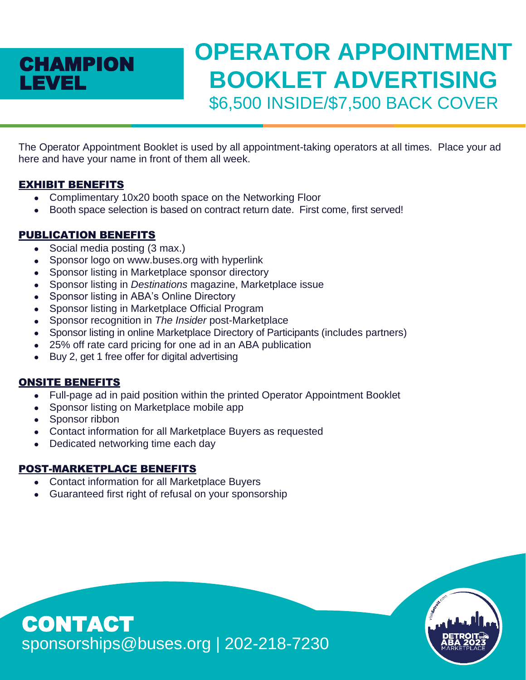# **CHAMPION** LEVEL

# **OPERATOR APPOINTMENT BOOKLET ADVERTISING** \$6,500 INSIDE/\$7,500 BACK COVER

The Operator Appointment Booklet is used by all appointment-taking operators at all times. Place your ad here and have your name in front of them all week.

# EXHIBIT BENEFITS

- Complimentary 10x20 booth space on the Networking Floor
- Booth space selection is based on contract return date. First come, first served!

# PUBLICATION BENEFITS

- Social media posting (3 max.)
- Sponsor logo on www.buses.org with hyperlink
- Sponsor listing in Marketplace sponsor directory
- Sponsor listing in *Destinations* magazine, Marketplace issue
- Sponsor listing in ABA's Online Directory
- Sponsor listing in Marketplace Official Program
- Sponsor recognition in *The Insider* post-Marketplace
- Sponsor listing in online Marketplace Directory of Participants (includes partners)
- 25% off rate card pricing for one ad in an ABA publication
- Buy 2, get 1 free offer for digital advertising

# ONSITE BENEFITS

- Full-page ad in paid position within the printed Operator Appointment Booklet
- Sponsor listing on Marketplace mobile app
- Sponsor ribbon
- Contact information for all Marketplace Buyers as requested
- Dedicated networking time each day

- Contact information for all Marketplace Buyers
- Guaranteed first right of refusal on your sponsorship

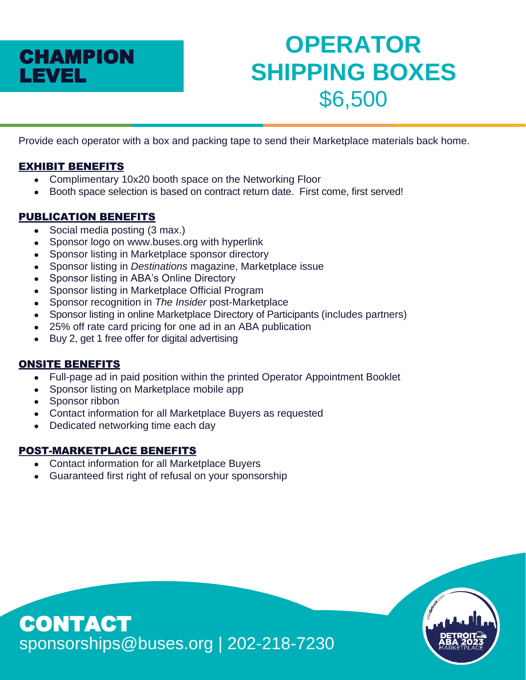

# **OPERATOR SHIPPING BOXES** \$6,500

Provide each operator with a box and packing tape to send their Marketplace materials back home.

# EXHIBIT BENEFITS

- Complimentary 10x20 booth space on the Networking Floor
- Booth space selection is based on contract return date. First come, first served!

# PUBLICATION BENEFITS

- Social media posting (3 max.)
- Sponsor logo on www.buses.org with hyperlink
- Sponsor listing in Marketplace sponsor directory
- Sponsor listing in *Destinations* magazine, Marketplace issue
- Sponsor listing in ABA's Online Directory
- Sponsor listing in Marketplace Official Program
- Sponsor recognition in *The Insider* post-Marketplace
- Sponsor listing in online Marketplace Directory of Participants (includes partners)
- 25% off rate card pricing for one ad in an ABA publication
- Buy 2, get 1 free offer for digital advertising

# ONSITE BENEFITS

- Full-page ad in paid position within the printed Operator Appointment Booklet
- Sponsor listing on Marketplace mobile app
- Sponsor ribbon
- Contact information for all Marketplace Buyers as requested
- Dedicated networking time each day

- Contact information for all Marketplace Buyers
- Guaranteed first right of refusal on your sponsorship

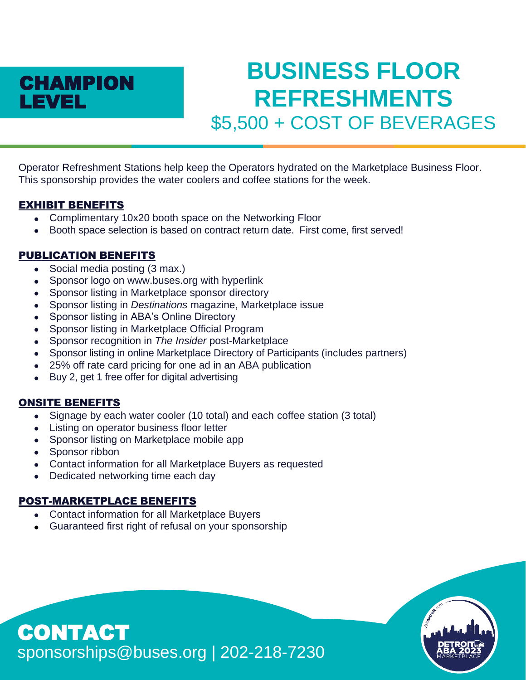

# **BUSINESS FLOOR REFRESHMENTS** \$5,500 + COST OF BEVERAGES

Operator Refreshment Stations help keep the Operators hydrated on the Marketplace Business Floor. This sponsorship provides the water coolers and coffee stations for the week.

#### EXHIBIT BENEFITS

- Complimentary 10x20 booth space on the Networking Floor
- Booth space selection is based on contract return date. First come, first served!

#### PUBLICATION BENEFITS

- Social media posting (3 max.)
- Sponsor logo on www.buses.org with hyperlink
- Sponsor listing in Marketplace sponsor directory
- Sponsor listing in *Destinations* magazine, Marketplace issue
- Sponsor listing in ABA's Online Directory
- Sponsor listing in Marketplace Official Program
- Sponsor recognition in *The Insider* post-Marketplace
- Sponsor listing in online Marketplace Directory of Participants (includes partners)
- 25% off rate card pricing for one ad in an ABA publication
- Buy 2, get 1 free offer for digital advertising

# ONSITE BENEFITS

- Signage by each water cooler (10 total) and each coffee station (3 total)
- Listing on operator business floor letter
- Sponsor listing on Marketplace mobile app
- Sponsor ribbon
- Contact information for all Marketplace Buyers as requested
- Dedicated networking time each day

#### POST-MARKETPLACE BENEFITS

- Contact information for all Marketplace Buyers
- Guaranteed first right of refusal on your sponsorship

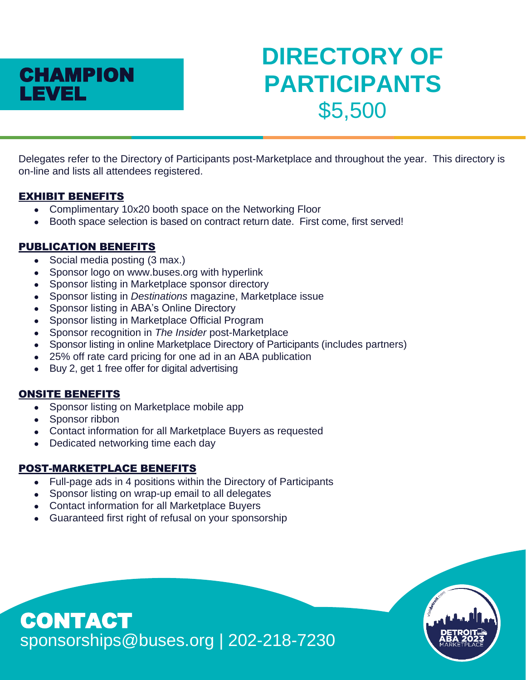

# **DIRECTORY OF PARTICIPANTS** \$5,500

Delegates refer to the Directory of Participants post-Marketplace and throughout the year. This directory is on-line and lists all attendees registered.

#### EXHIBIT BENEFITS

- Complimentary 10x20 booth space on the Networking Floor
- Booth space selection is based on contract return date. First come, first served!

# PUBLICATION BENEFITS

- Social media posting (3 max.)
- Sponsor logo on www.buses.org with hyperlink
- Sponsor listing in Marketplace sponsor directory
- Sponsor listing in *Destinations* magazine, Marketplace issue
- Sponsor listing in ABA's Online Directory
- Sponsor listing in Marketplace Official Program
- Sponsor recognition in *The Insider* post-Marketplace
- Sponsor listing in online Marketplace Directory of Participants (includes partners)
- 25% off rate card pricing for one ad in an ABA publication
- Buy 2, get 1 free offer for digital advertising

#### ONSITE BENEFITS

- Sponsor listing on Marketplace mobile app
- Sponsor ribbon
- Contact information for all Marketplace Buyers as requested
- Dedicated networking time each day

#### POST-MARKETPLACE BENEFITS

- Full-page ads in 4 positions within the Directory of Participants
- Sponsor listing on wrap-up email to all delegates
- Contact information for all Marketplace Buyers
- Guaranteed first right of refusal on your sponsorship

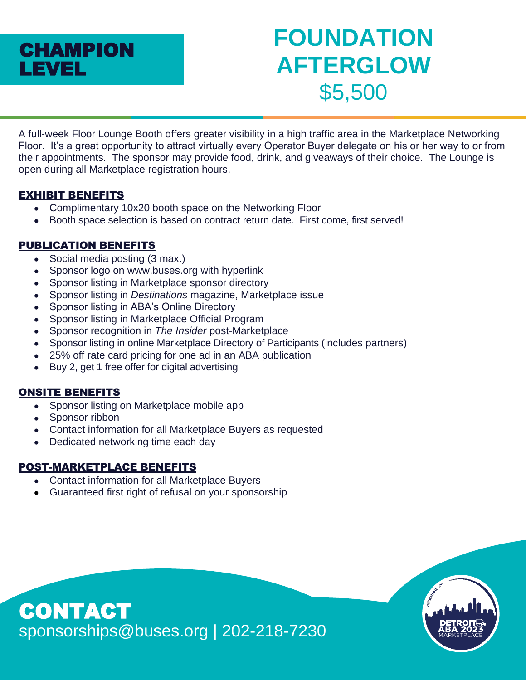

# **FOUNDATION AFTERGLOW** \$5,500

A full-week Floor Lounge Booth offers greater visibility in a high traffic area in the Marketplace Networking Floor. It's a great opportunity to attract virtually every Operator Buyer delegate on his or her way to or from their appointments. The sponsor may provide food, drink, and giveaways of their choice. The Lounge is open during all Marketplace registration hours.

# EXHIBIT BENEFITS

- Complimentary 10x20 booth space on the Networking Floor
- Booth space selection is based on contract return date. First come, first served!

# PUBLICATION BENEFITS

- Social media posting (3 max.)
- Sponsor logo on www.buses.org with hyperlink
- Sponsor listing in Marketplace sponsor directory
- Sponsor listing in *Destinations* magazine, Marketplace issue
- Sponsor listing in ABA's Online Directory
- Sponsor listing in Marketplace Official Program
- Sponsor recognition in *The Insider* post-Marketplace
- Sponsor listing in online Marketplace Directory of Participants (includes partners)
- 25% off rate card pricing for one ad in an ABA publication
- Buy 2, get 1 free offer for digital advertising

#### ONSITE BENEFITS

- Sponsor listing on Marketplace mobile app
- Sponsor ribbon
- Contact information for all Marketplace Buyers as requested
- Dedicated networking time each day

- Contact information for all Marketplace Buyers
- Guaranteed first right of refusal on your sponsorship

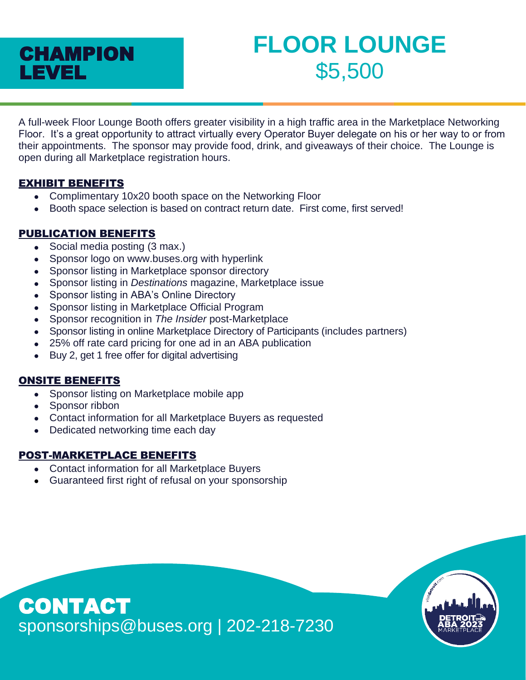# CHAMPION LEVEL

# **FLOOR LOUNGE** \$5,500

A full-week Floor Lounge Booth offers greater visibility in a high traffic area in the Marketplace Networking Floor. It's a great opportunity to attract virtually every Operator Buyer delegate on his or her way to or from their appointments. The sponsor may provide food, drink, and giveaways of their choice. The Lounge is open during all Marketplace registration hours.

# EXHIBIT BENEFITS

- Complimentary 10x20 booth space on the Networking Floor
- Booth space selection is based on contract return date. First come, first served!

# PUBLICATION BENEFITS

- Social media posting (3 max.)
- Sponsor logo on www.buses.org with hyperlink
- Sponsor listing in Marketplace sponsor directory
- Sponsor listing in *Destinations* magazine, Marketplace issue
- Sponsor listing in ABA's Online Directory
- Sponsor listing in Marketplace Official Program
- Sponsor recognition in *The Insider* post-Marketplace
- Sponsor listing in online Marketplace Directory of Participants (includes partners)
- 25% off rate card pricing for one ad in an ABA publication
- Buy 2, get 1 free offer for digital advertising

# ONSITE BENEFITS

- Sponsor listing on Marketplace mobile app
- Sponsor ribbon
- Contact information for all Marketplace Buyers as requested
- Dedicated networking time each day

- Contact information for all Marketplace Buyers
- Guaranteed first right of refusal on your sponsorship

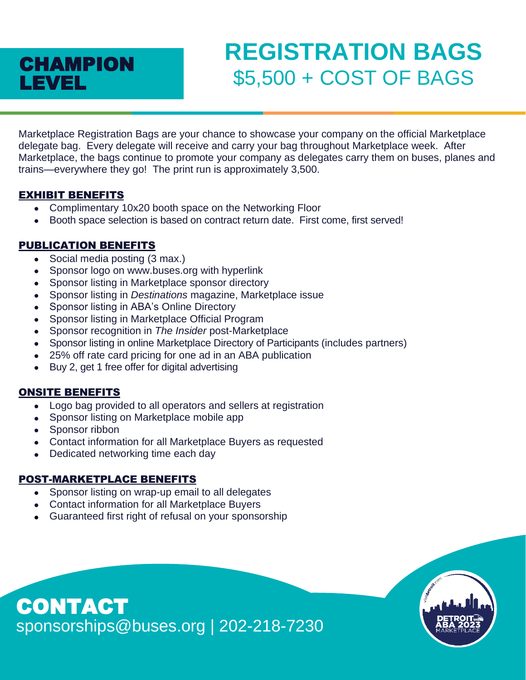

# **REGISTRATION BAGS CHAMPION 55,500 + COST OF BAGS**

Marketplace Registration Bags are your chance to showcase your company on the official Marketplace delegate bag. Every delegate will receive and carry your bag throughout Marketplace week. After Marketplace, the bags continue to promote your company as delegates carry them on buses, planes and trains—everywhere they go! The print run is approximately 3,500.

#### EXHIBIT BENEFITS

- Complimentary 10x20 booth space on the Networking Floor
- Booth space selection is based on contract return date. First come, first served!

# PUBLICATION BENEFITS

- Social media posting (3 max.)
- Sponsor logo on www.buses.org with hyperlink
- Sponsor listing in Marketplace sponsor directory
- Sponsor listing in *Destinations* magazine, Marketplace issue
- Sponsor listing in ABA's Online Directory
- Sponsor listing in Marketplace Official Program
- Sponsor recognition in *The Insider* post-Marketplace
- Sponsor listing in online Marketplace Directory of Participants (includes partners)
- 25% off rate card pricing for one ad in an ABA publication
- Buy 2, get 1 free offer for digital advertising

#### ONSITE BENEFITS

- Logo bag provided to all operators and sellers at registration
- Sponsor listing on Marketplace mobile app
- Sponsor ribbon
- Contact information for all Marketplace Buyers as requested
- Dedicated networking time each day

#### POST-MARKETPLACE BENEFITS

- Sponsor listing on wrap-up email to all delegates
- Contact information for all Marketplace Buyers
- Guaranteed first right of refusal on your sponsorship

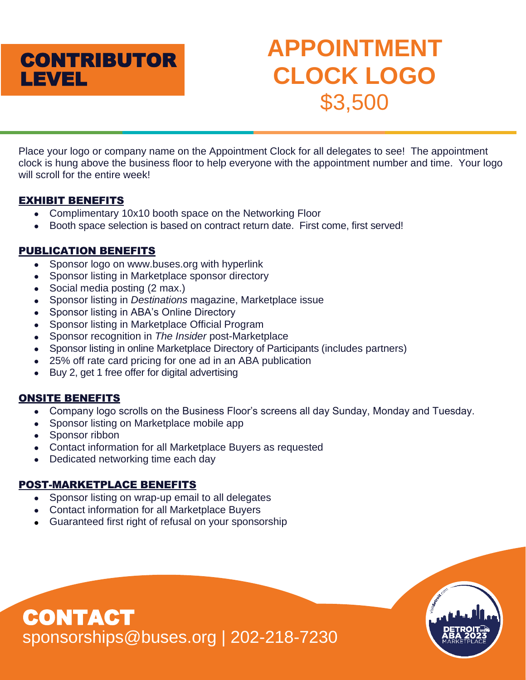# **APPOINTMENT CLOCK LOGO** \$3,500

Place your logo or company name on the Appointment Clock for all delegates to see! The appointment clock is hung above the business floor to help everyone with the appointment number and time. Your logo will scroll for the entire week!

# EXHIBIT BENEFITS

- Complimentary 10x10 booth space on the Networking Floor
- Booth space selection is based on contract return date. First come, first served!

# PUBLICATION BENEFITS

- Sponsor logo on www.buses.org with hyperlink
- Sponsor listing in Marketplace sponsor directory
- Social media posting (2 max.)
- Sponsor listing in *Destinations* magazine, Marketplace issue
- Sponsor listing in ABA's Online Directory
- Sponsor listing in Marketplace Official Program
- Sponsor recognition in *The Insider* post-Marketplace
- Sponsor listing in online Marketplace Directory of Participants (includes partners)
- 25% off rate card pricing for one ad in an ABA publication
- Buy 2, get 1 free offer for digital advertising

# ONSITE BENEFITS

- Company logo scrolls on the Business Floor's screens all day Sunday, Monday and Tuesday.
- Sponsor listing on Marketplace mobile app
- Sponsor ribbon
- Contact information for all Marketplace Buyers as requested
- Dedicated networking time each day

- Sponsor listing on wrap-up email to all delegates
- Contact information for all Marketplace Buyers
- Guaranteed first right of refusal on your sponsorship

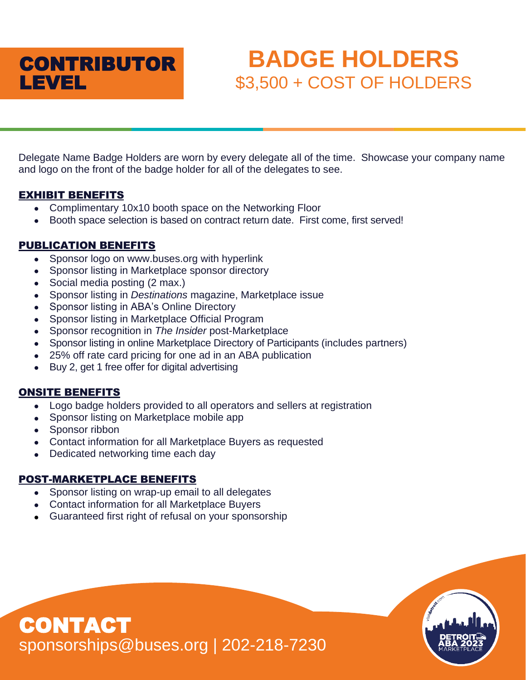

# **BADGE HOLDERS** \$3,500 + COST OF HOLDERS

Delegate Name Badge Holders are worn by every delegate all of the time. Showcase your company name and logo on the front of the badge holder for all of the delegates to see.

#### EXHIBIT BENEFITS

- Complimentary 10x10 booth space on the Networking Floor
- Booth space selection is based on contract return date. First come, first served!

# PUBLICATION BENEFITS

- Sponsor logo on www.buses.org with hyperlink
- Sponsor listing in Marketplace sponsor directory
- Social media posting (2 max.)
- Sponsor listing in *Destinations* magazine, Marketplace issue
- Sponsor listing in ABA's Online Directory
- Sponsor listing in Marketplace Official Program
- Sponsor recognition in *The Insider* post-Marketplace
- Sponsor listing in online Marketplace Directory of Participants (includes partners)
- 25% off rate card pricing for one ad in an ABA publication
- Buy 2, get 1 free offer for digital advertising

#### ONSITE BENEFITS

- Logo badge holders provided to all operators and sellers at registration
- Sponsor listing on Marketplace mobile app
- Sponsor ribbon

CONTACT

- Contact information for all Marketplace Buyers as requested
- Dedicated networking time each day

#### POST-MARKETPLACE BENEFITS

- Sponsor listing on wrap-up email to all delegates
- Contact information for all Marketplace Buyers
- Guaranteed first right of refusal on your sponsorship

sponsorships@buses.org | 202-218-7230

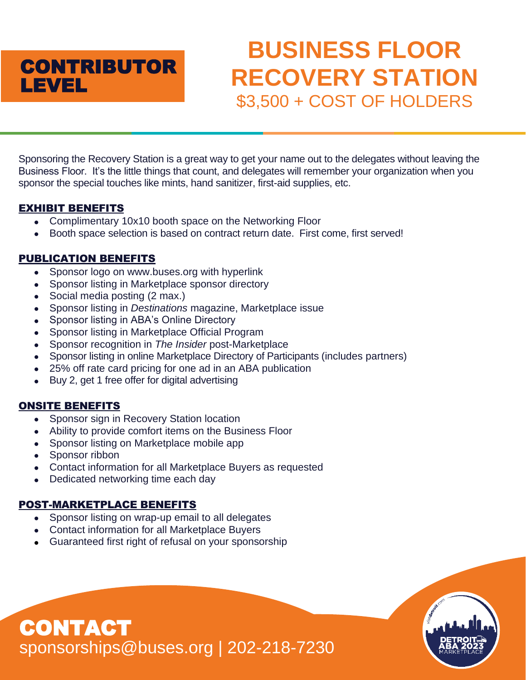# **CONTRIBUTOR** LEVEL

# **BUSINESS FLOOR RECOVERY STATION** \$3,500 + COST OF HOLDERS

Sponsoring the Recovery Station is a great way to get your name out to the delegates without leaving the Business Floor. It's the little things that count, and delegates will remember your organization when you sponsor the special touches like mints, hand sanitizer, first-aid supplies, etc.

# EXHIBIT BENEFITS

- Complimentary 10x10 booth space on the Networking Floor
- Booth space selection is based on contract return date. First come, first served!

# PUBLICATION BENEFITS

- Sponsor logo on www.buses.org with hyperlink
- Sponsor listing in Marketplace sponsor directory
- Social media posting (2 max.)
- Sponsor listing in *Destinations* magazine, Marketplace issue
- Sponsor listing in ABA's Online Directory
- Sponsor listing in Marketplace Official Program
- Sponsor recognition in *The Insider* post-Marketplace
- Sponsor listing in online Marketplace Directory of Participants (includes partners)
- 25% off rate card pricing for one ad in an ABA publication
- Buy 2, get 1 free offer for digital advertising

# ONSITE BENEFITS

- Sponsor sign in Recovery Station location
- Ability to provide comfort items on the Business Floor
- Sponsor listing on Marketplace mobile app
- Sponsor ribbon

CONTACT

- Contact information for all Marketplace Buyers as requested
- Dedicated networking time each day

# POST-MARKETPLACE BENEFITS

- Sponsor listing on wrap-up email to all delegates
- Contact information for all Marketplace Buyers
- Guaranteed first right of refusal on your sponsorship

sponsorships@buses.org | 202-218-7230

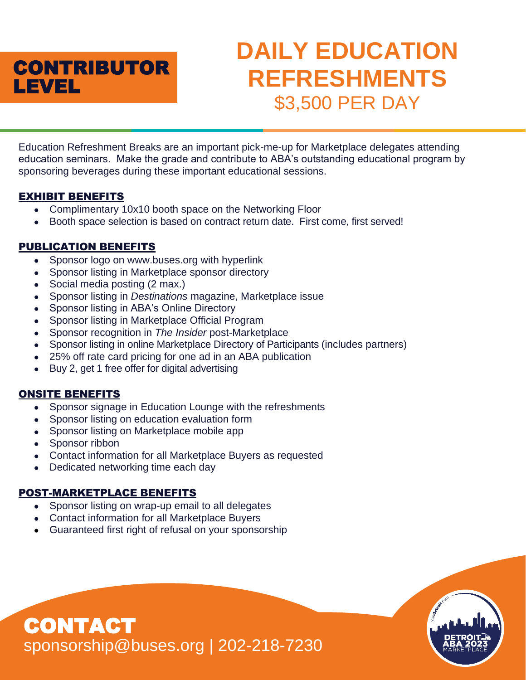

# **DAILY EDUCATION REFRESHMENTS** \$3,500 PER DAY

Education Refreshment Breaks are an important pick-me-up for Marketplace delegates attending education seminars. Make the grade and contribute to ABA's outstanding educational program by sponsoring beverages during these important educational sessions.

# EXHIBIT BENEFITS

- Complimentary 10x10 booth space on the Networking Floor
- Booth space selection is based on contract return date. First come, first served!

# PUBLICATION BENEFITS

- Sponsor logo on www.buses.org with hyperlink
- Sponsor listing in Marketplace sponsor directory
- Social media posting (2 max.)
- Sponsor listing in *Destinations* magazine, Marketplace issue
- Sponsor listing in ABA's Online Directory
- Sponsor listing in Marketplace Official Program
- Sponsor recognition in *The Insider* post-Marketplace
- Sponsor listing in online Marketplace Directory of Participants (includes partners)
- 25% off rate card pricing for one ad in an ABA publication
- Buy 2, get 1 free offer for digital advertising

# ONSITE BENEFITS

- Sponsor signage in Education Lounge with the refreshments
- Sponsor listing on education evaluation form
- Sponsor listing on Marketplace mobile app
- Sponsor ribbon

CONTACT

- Contact information for all Marketplace Buyers as requested
- Dedicated networking time each day

# POST-MARKETPLACE BENEFITS

- Sponsor listing on wrap-up email to all delegates
- Contact information for all Marketplace Buyers
- Guaranteed first right of refusal on your sponsorship

sponsorship@buses.org | 202-218-7230

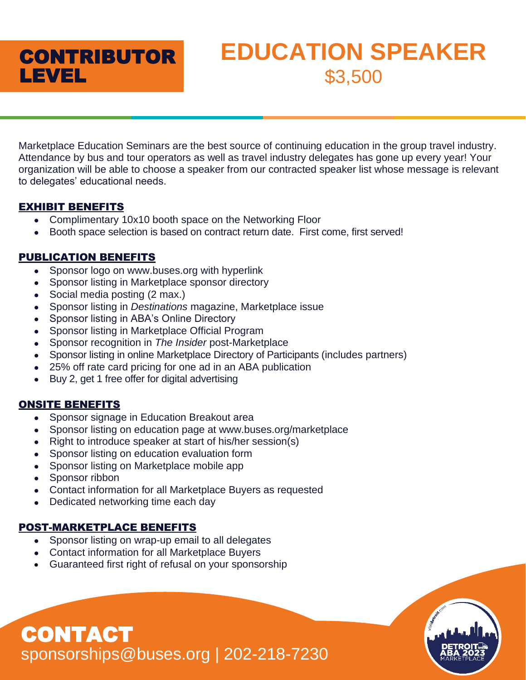

# **EDUCATION SPEAKER** \$3,500

Marketplace Education Seminars are the best source of continuing education in the group travel industry. Attendance by bus and tour operators as well as travel industry delegates has gone up every year! Your organization will be able to choose a speaker from our contracted speaker list whose message is relevant to delegates' educational needs.

# EXHIBIT BENEFITS

- Complimentary 10x10 booth space on the Networking Floor
- Booth space selection is based on contract return date. First come, first served!

# PUBLICATION BENEFITS

- Sponsor logo on www.buses.org with hyperlink
- Sponsor listing in Marketplace sponsor directory
- Social media posting (2 max.)
- Sponsor listing in *Destinations* magazine, Marketplace issue
- Sponsor listing in ABA's Online Directory
- Sponsor listing in Marketplace Official Program
- Sponsor recognition in *The Insider* post-Marketplace
- Sponsor listing in online Marketplace Directory of Participants (includes partners)
- 25% off rate card pricing for one ad in an ABA publication
- Buy 2, get 1 free offer for digital advertising

# ONSITE BENEFITS

- Sponsor signage in Education Breakout area
- Sponsor listing on education page at www.buses.org/marketplace
- Right to introduce speaker at start of his/her session(s)
- Sponsor listing on education evaluation form
- Sponsor listing on Marketplace mobile app
- Sponsor ribbon
- Contact information for all Marketplace Buyers as requested
- Dedicated networking time each day

# POST-MARKETPLACE BENEFITS

- Sponsor listing on wrap-up email to all delegates
- Contact information for all Marketplace Buyers
- Guaranteed first right of refusal on your sponsorship

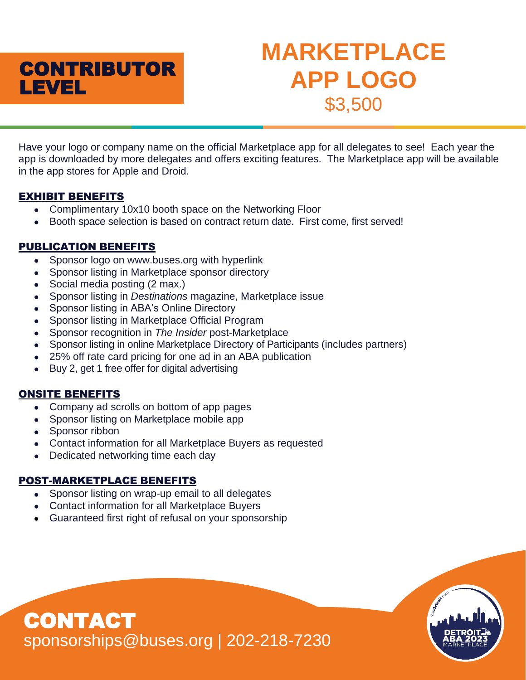

# **MARKETPLACE APP LOGO** \$3,500

Have your logo or company name on the official Marketplace app for all delegates to see! Each year the app is downloaded by more delegates and offers exciting features. The Marketplace app will be available in the app stores for Apple and Droid.

# EXHIBIT BENEFITS

- Complimentary 10x10 booth space on the Networking Floor
- Booth space selection is based on contract return date. First come, first served!

# PUBLICATION BENEFITS

- Sponsor logo on www.buses.org with hyperlink
- Sponsor listing in Marketplace sponsor directory
- Social media posting (2 max.)
- Sponsor listing in *Destinations* magazine, Marketplace issue
- Sponsor listing in ABA's Online Directory
- Sponsor listing in Marketplace Official Program
- Sponsor recognition in *The Insider* post-Marketplace
- Sponsor listing in online Marketplace Directory of Participants (includes partners)
- 25% off rate card pricing for one ad in an ABA publication
- Buy 2, get 1 free offer for digital advertising

# ONSITE BENEFITS

- Company ad scrolls on bottom of app pages
- Sponsor listing on Marketplace mobile app
- Sponsor ribbon

CONTACT

- Contact information for all Marketplace Buyers as requested
- Dedicated networking time each day

# POST-MARKETPLACE BENEFITS

- Sponsor listing on wrap-up email to all delegates
- Contact information for all Marketplace Buyers
- Guaranteed first right of refusal on your sponsorship

sponsorships@buses.org | 202-218-7230

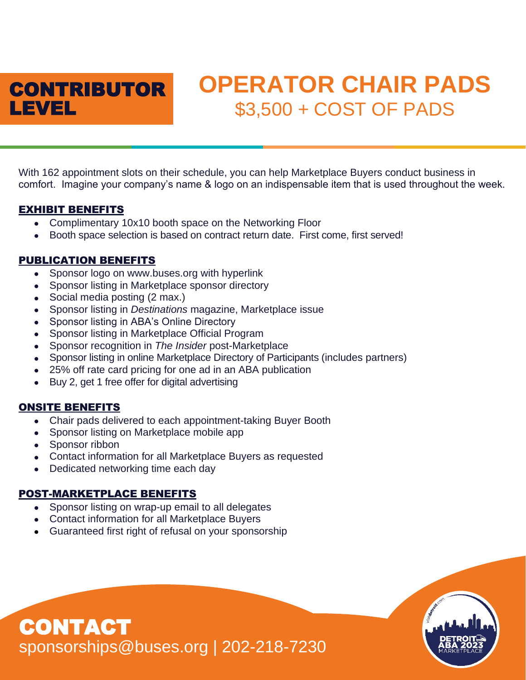

# **OPERATOR CHAIR PADS** \$3,500 + COST OF PADS

With 162 appointment slots on their schedule, you can help Marketplace Buyers conduct business in comfort. Imagine your company's name & logo on an indispensable item that is used throughout the week.

#### EXHIBIT BENEFITS

- Complimentary 10x10 booth space on the Networking Floor
- Booth space selection is based on contract return date. First come, first served!

# PUBLICATION BENEFITS

- Sponsor logo on www.buses.org with hyperlink
- Sponsor listing in Marketplace sponsor directory
- Social media posting (2 max.)
- Sponsor listing in *Destinations* magazine, Marketplace issue
- Sponsor listing in ABA's Online Directory
- Sponsor listing in Marketplace Official Program
- Sponsor recognition in *The Insider* post-Marketplace
- Sponsor listing in online Marketplace Directory of Participants (includes partners)
- 25% off rate card pricing for one ad in an ABA publication
- Buy 2, get 1 free offer for digital advertising

# ONSITE BENEFITS

- Chair pads delivered to each appointment-taking Buyer Booth
- Sponsor listing on Marketplace mobile app
- Sponsor ribbon
- Contact information for all Marketplace Buyers as requested
- Dedicated networking time each day

# POST-MARKETPLACE BENEFITS

- Sponsor listing on wrap-up email to all delegates
- Contact information for all Marketplace Buyers
- Guaranteed first right of refusal on your sponsorship

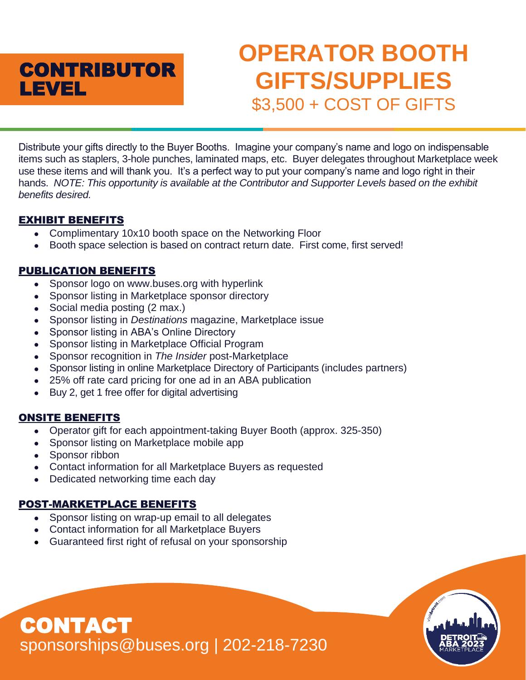

# **OPERATOR BOOTH GIFTS/SUPPLIES** \$3,500 + COST OF GIFTS

Distribute your gifts directly to the Buyer Booths. Imagine your company's name and logo on indispensable items such as staplers, 3-hole punches, laminated maps, etc. Buyer delegates throughout Marketplace week use these items and will thank you. It's a perfect way to put your company's name and logo right in their hands. *NOTE: This opportunity is available at the Contributor and Supporter Levels based on the exhibit benefits desired.*

# EXHIBIT BENEFITS

- Complimentary 10x10 booth space on the Networking Floor
- Booth space selection is based on contract return date. First come, first served!

# PUBLICATION BENEFITS

- Sponsor logo on www.buses.org with hyperlink
- Sponsor listing in Marketplace sponsor directory
- Social media posting (2 max.)
- Sponsor listing in *Destinations* magazine, Marketplace issue
- Sponsor listing in ABA's Online Directory
- Sponsor listing in Marketplace Official Program
- Sponsor recognition in *The Insider* post-Marketplace
- Sponsor listing in online Marketplace Directory of Participants (includes partners)
- 25% off rate card pricing for one ad in an ABA publication
- Buy 2, get 1 free offer for digital advertising

# ONSITE BENEFITS

- Operator gift for each appointment-taking Buyer Booth (approx. 325-350)
- Sponsor listing on Marketplace mobile app
- Sponsor ribbon

CONTACT

- Contact information for all Marketplace Buyers as requested
- Dedicated networking time each day

# POST-MARKETPLACE BENEFITS

- Sponsor listing on wrap-up email to all delegates
- Contact information for all Marketplace Buyers
- Guaranteed first right of refusal on your sponsorship

sponsorships@buses.org | 202-218-7230

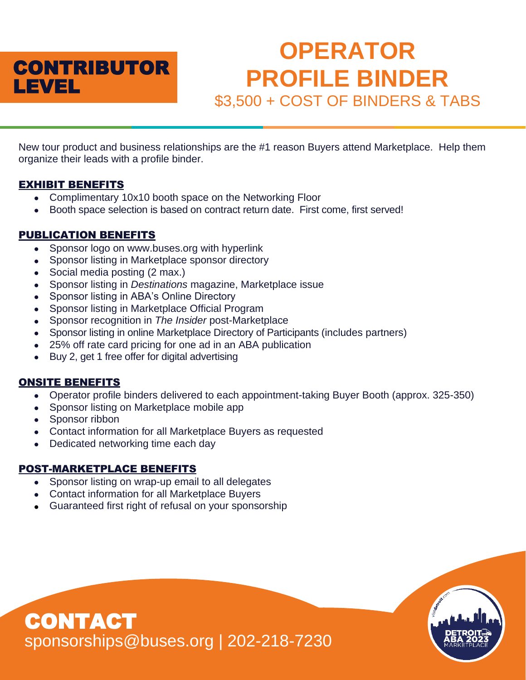

# **OPERATOR PROFILE BINDER** \$3,500 + COST OF BINDERS & TABS

New tour product and business relationships are the #1 reason Buyers attend Marketplace. Help them organize their leads with a profile binder.

#### EXHIBIT BENEFITS

- Complimentary 10x10 booth space on the Networking Floor
- Booth space selection is based on contract return date. First come, first served!

# PUBLICATION BENEFITS

- Sponsor logo on www.buses.org with hyperlink
- Sponsor listing in Marketplace sponsor directory
- Social media posting (2 max.)
- Sponsor listing in *Destinations* magazine, Marketplace issue
- Sponsor listing in ABA's Online Directory
- Sponsor listing in Marketplace Official Program
- Sponsor recognition in *The Insider* post-Marketplace
- Sponsor listing in online Marketplace Directory of Participants (includes partners)
- 25% off rate card pricing for one ad in an ABA publication
- Buy 2, get 1 free offer for digital advertising

#### ONSITE BENEFITS

- Operator profile binders delivered to each appointment-taking Buyer Booth (approx. 325-350)
- Sponsor listing on Marketplace mobile app
- Sponsor ribbon
- Contact information for all Marketplace Buyers as requested
- Dedicated networking time each day

# POST-MARKETPLACE BENEFITS

- Sponsor listing on wrap-up email to all delegates
- Contact information for all Marketplace Buyers
- Guaranteed first right of refusal on your sponsorship

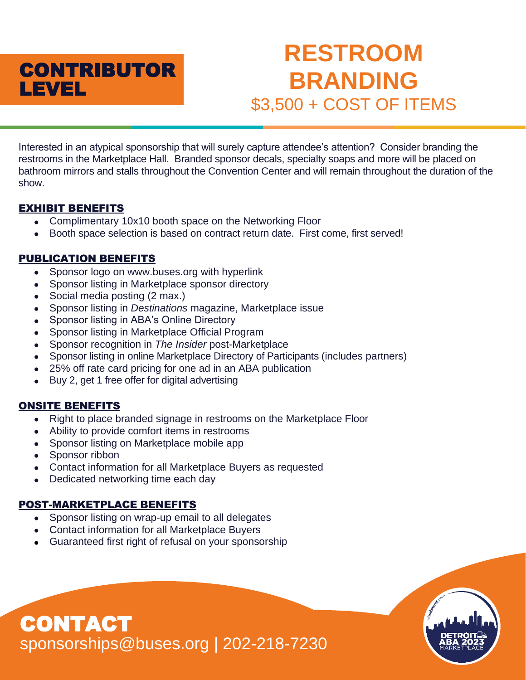

# **RESTROOM BRANDING** \$3,500 + COST OF ITEMS

Interested in an atypical sponsorship that will surely capture attendee's attention? Consider branding the restrooms in the Marketplace Hall. Branded sponsor decals, specialty soaps and more will be placed on bathroom mirrors and stalls throughout the Convention Center and will remain throughout the duration of the show.

# EXHIBIT BENEFITS

- Complimentary 10x10 booth space on the Networking Floor
- Booth space selection is based on contract return date. First come, first served!

# PUBLICATION BENEFITS

- Sponsor logo on www.buses.org with hyperlink
- Sponsor listing in Marketplace sponsor directory
- Social media posting (2 max.)
- Sponsor listing in *Destinations* magazine, Marketplace issue
- Sponsor listing in ABA's Online Directory
- Sponsor listing in Marketplace Official Program
- Sponsor recognition in *The Insider* post-Marketplace
- Sponsor listing in online Marketplace Directory of Participants (includes partners)
- 25% off rate card pricing for one ad in an ABA publication
- Buy 2, get 1 free offer for digital advertising

# ONSITE BENEFITS

- Right to place branded signage in restrooms on the Marketplace Floor
- Ability to provide comfort items in restrooms
- Sponsor listing on Marketplace mobile app
- Sponsor ribbon
- Contact information for all Marketplace Buyers as requested
- Dedicated networking time each day

# POST-MARKETPLACE BENEFITS

- Sponsor listing on wrap-up email to all delegates
- Contact information for all Marketplace Buyers
- Guaranteed first right of refusal on your sponsorship